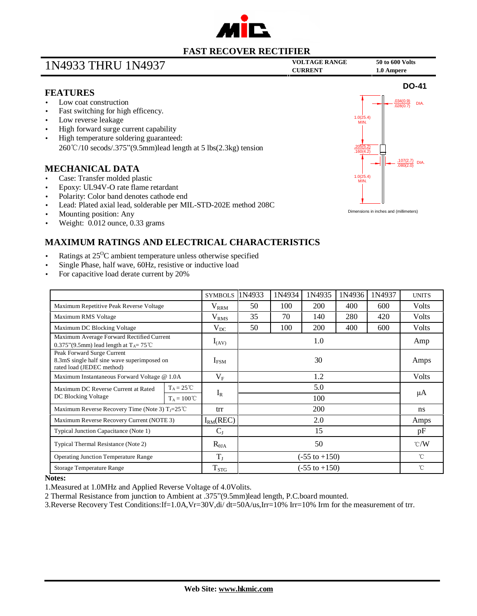

## **VOLTAGE RANGE <sup>50</sup> to <sup>600</sup> Volts** 1N4933 THRU 1N4937 **CURRENT 1.0 Ampere**

.205(5.2) .160(4.2)

1.0(25.4) MIN.

1.0(25.4) MIN.

Dimensions in inches and (millimeters)

**DO-41**

 $\frac{134(0.9)}{29(0.7)}$  DIA. .028(0.7)

 $\frac{.107(2.7)}{.080(2.0)}$  DIA.

## **FEATURES**

- Low coat construction
- Fast switching for high efficency.
- Low reverse leakage
- High forward surge current capability
- High temperature soldering guaranteed: 260℃/10 secods/.375"(9.5mm)lead length at 5 lbs(2.3kg) tension

### **MECHANICAL DATA**

- Case: Transfer molded plastic
- Epoxy: UL94V-O rate flame retardant
- Polarity: Color band denotes cathode end
- Lead: Plated axial lead, solderable per MIL-STD-202E method 208C
- Mounting position: Any
- Weight: 0.012 ounce, 0.33 grams

## **MAXIMUM RATINGS AND ELECTRICAL CHARACTERISTICS**

- Ratings at 25<sup>o</sup>C ambient temperature unless otherwise specified
- Single Phase, half wave, 60Hz, resistive or inductive load
- For capacitive load derate current by 20%

|                                                                                                        |                      | <b>SYMBOLS</b>   | 1N4933                   | 1N4934 | 1N4935     | 1N4936 | 1N4937 | <b>UNITS</b>  |
|--------------------------------------------------------------------------------------------------------|----------------------|------------------|--------------------------|--------|------------|--------|--------|---------------|
| Maximum Repetitive Peak Reverse Voltage                                                                |                      | $V_{RRM}$        | 50                       | 100    | <b>200</b> | 400    | 600    | <b>Volts</b>  |
| Maximum RMS Voltage                                                                                    |                      | V <sub>RMS</sub> | 35                       | 70     | 140        | 280    | 420    | <b>Volts</b>  |
| Maximum DC Blocking Voltage                                                                            |                      | $V_{DC}$         | 50                       | 100    | 200        | 400    | 600    | Volts         |
| Maximum Average Forward Rectified Current<br>0.375"(9.5mm) lead length at $T_A = 75^{\circ}$ C         |                      | $I_{(AV)}$       | 1.0                      |        |            |        |        | Amp           |
| Peak Forward Surge Current<br>8.3mS single half sine wave superimposed on<br>rated load (JEDEC method) |                      | $I_{FSM}$        | 30                       |        |            |        |        | Amps          |
| Maximum Instantaneous Forward Voltage @ 1.0A                                                           |                      | $\rm V_F$        | 1.2                      |        |            |        |        | <b>Volts</b>  |
| Maximum DC Reverse Current at Rated<br>DC Blocking Voltage                                             | $T_A = 25^{\circ}C$  | $I_R$            | 5.0                      |        |            |        |        | μA            |
|                                                                                                        | $T_A = 100^{\circ}C$ |                  | 100                      |        |            |        |        |               |
| Maximum Reverse Recovery Time (Note 3) $T_J = 25^{\circ}C$                                             |                      | trr              | <b>200</b>               |        |            |        |        | ns            |
| Maximum Reverse Recovery Current (NOTE 3)                                                              |                      | $I_{RM}(REC)$    | 2.0                      |        |            |        |        | Amps          |
| Typical Junction Capacitance (Note 1)                                                                  |                      | $C_I$            | 15                       |        |            |        |        | pF            |
| Typical Thermal Resistance (Note 2)                                                                    |                      | $R_{\theta JA}$  | 50                       |        |            |        |        | $\degree$ C/W |
| <b>Operating Junction Temperature Range</b>                                                            |                      | $T_{J}$          | $(-55 \text{ to } +150)$ |        |            |        |        | °C            |
| <b>Storage Temperature Range</b>                                                                       |                      | $T_{STG}$        | $(-55 \text{ to } +150)$ |        |            |        |        | °C            |

#### **Notes:**

1.Measured at 1.0MHz and Applied Reverse Voltage of 4.0Volits.

2 Thermal Resistance from junction to Ambient at .375"(9.5mm)lead length, P.C.board mounted.

3.Reverse Recovery Test Conditions:If=1.0A,Vr=30V,di/ dt=50A/us,Irr=10% Irr=10% Irm for the measurement of trr.